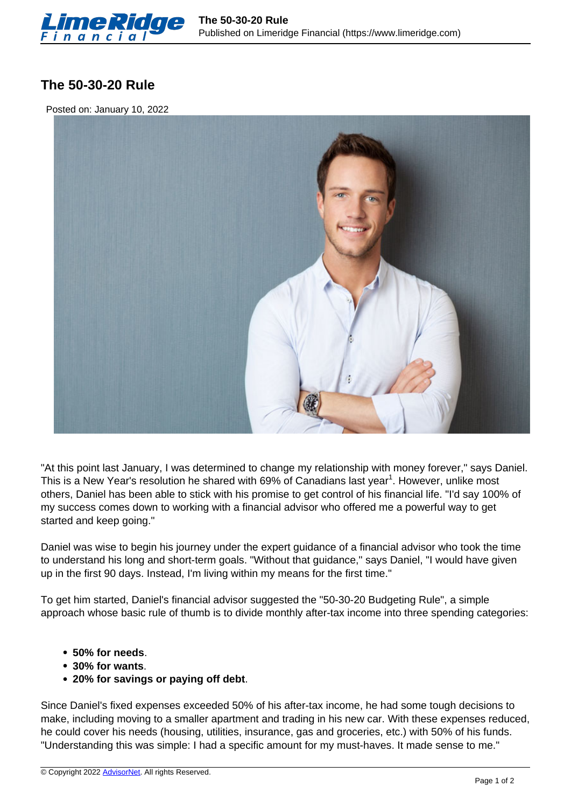

## **The 50-30-20 Rule**

Posted on: January 10, 2022



"At this point last January, I was determined to change my relationship with money forever," says Daniel. This is a New Year's resolution he shared with 69% of Canadians last year<sup>1</sup>. However, unlike most others, Daniel has been able to stick with his promise to get control of his financial life. "I'd say 100% of my success comes down to working with a financial advisor who offered me a powerful way to get started and keep going."

Daniel was wise to begin his journey under the expert guidance of a financial advisor who took the time to understand his long and short-term goals. "Without that guidance," says Daniel, "I would have given up in the first 90 days. Instead, I'm living within my means for the first time."

To get him started, Daniel's financial advisor suggested the "50-30-20 Budgeting Rule", a simple approach whose basic rule of thumb is to divide monthly after-tax income into three spending categories:

- **50% for needs**.
- **30% for wants**.
- **20% for savings or paying off debt**.

Since Daniel's fixed expenses exceeded 50% of his after-tax income, he had some tough decisions to make, including moving to a smaller apartment and trading in his new car. With these expenses reduced, he could cover his needs (housing, utilities, insurance, gas and groceries, etc.) with 50% of his funds. "Understanding this was simple: I had a specific amount for my must-haves. It made sense to me."